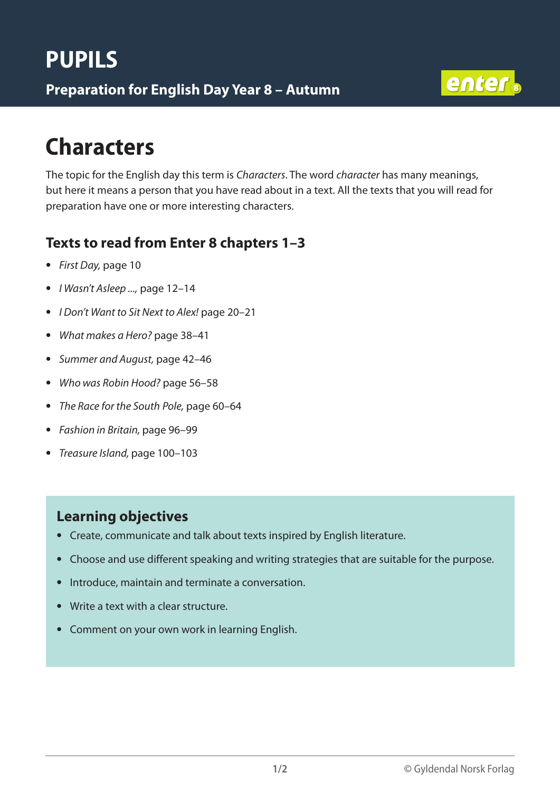

# **Characters**

The topic for the English day this term is *Characters*. The word *character* has many meanings, but here it means a person that you have read about in a text. All the texts that you will read for preparation have one or more interesting characters.

### **Texts to read from Enter 8 chapters 1–3**

- *First Day,* page 10
- *I Wasn't Asleep ...,* page 12–14
- *I Don't Want to Sit Next to Alex!* page 20–21
- *What makes a Hero?* page 38–41
- *Summer and August,* page 42–46
- *Who was Robin Hood?* page 56–58
- *The Race for the South Pole,* page 60–64
- *Fashion in Britain,* page 96–99
- *Treasure Island,* page 100–103

#### **Learning objectives**

- Create, communicate and talk about texts inspired by English literature.
- Choose and use different speaking and writing strategies that are suitable for the purpose.
- Introduce, maintain and terminate a conversation.
- Write a text with a clear structure.
- Comment on your own work in learning English.